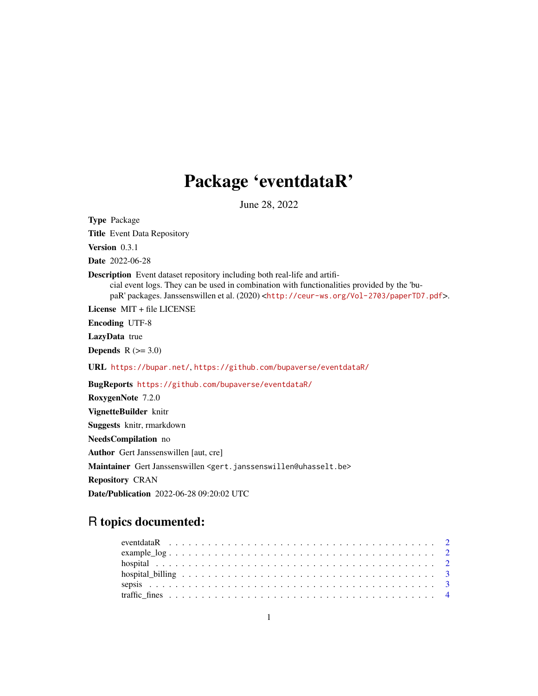## Package 'eventdataR'

June 28, 2022

Type Package Title Event Data Repository Version 0.3.1 Date 2022-06-28 Description Event dataset repository including both real-life and artificial event logs. They can be used in combination with functionalities provided by the 'bupaR' packages. Janssenswillen et al. (2020) <<http://ceur-ws.org/Vol-2703/paperTD7.pdf>>. License MIT + file LICENSE Encoding UTF-8 LazyData true **Depends**  $R$  ( $>= 3.0$ ) URL <https://bupar.net/>, <https://github.com/bupaverse/eventdataR/> BugReports <https://github.com/bupaverse/eventdataR/> RoxygenNote 7.2.0 VignetteBuilder knitr Suggests knitr, rmarkdown NeedsCompilation no Author Gert Janssenswillen [aut, cre] Maintainer Gert Janssenswillen <gert.janssenswillen@uhasselt.be> Repository CRAN

Date/Publication 2022-06-28 09:20:02 UTC

### R topics documented: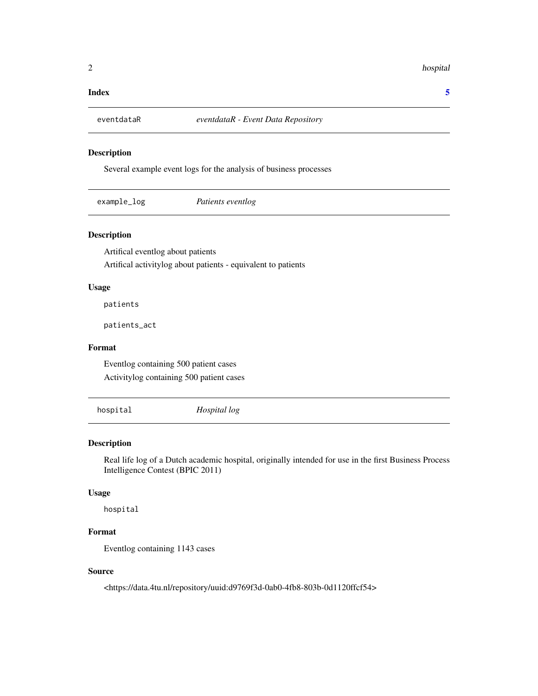#### <span id="page-1-0"></span>2 hospital and the contract of the contract of the contract of the contract of the contract of the contract of the contract of the contract of the contract of the contract of the contract of the contract of the contract of

#### **Index** [5](#page-4-0). The second state of the second state of the second state of the second state of the second state of the second state of the second state of the second state of the second state of the second state of the second

#### Description

Several example event logs for the analysis of business processes

| example_log | Patients eventlog |  |
|-------------|-------------------|--|
|-------------|-------------------|--|

#### Description

Artifical eventlog about patients Artifical activitylog about patients - equivalent to patients

#### Usage

patients

patients\_act

#### Format

Eventlog containing 500 patient cases Activitylog containing 500 patient cases

hospital *Hospital log*

#### Description

Real life log of a Dutch academic hospital, originally intended for use in the first Business Process Intelligence Contest (BPIC 2011)

#### Usage

hospital

#### Format

Eventlog containing 1143 cases

#### Source

<https://data.4tu.nl/repository/uuid:d9769f3d-0ab0-4fb8-803b-0d1120ffcf54>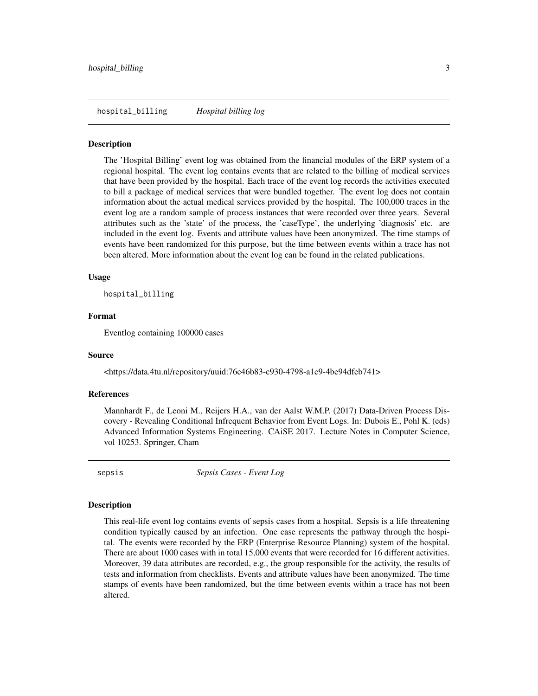<span id="page-2-0"></span>hospital\_billing *Hospital billing log*

#### Description

The 'Hospital Billing' event log was obtained from the financial modules of the ERP system of a regional hospital. The event log contains events that are related to the billing of medical services that have been provided by the hospital. Each trace of the event log records the activities executed to bill a package of medical services that were bundled together. The event log does not contain information about the actual medical services provided by the hospital. The 100,000 traces in the event log are a random sample of process instances that were recorded over three years. Several attributes such as the 'state' of the process, the 'caseType', the underlying 'diagnosis' etc. are included in the event log. Events and attribute values have been anonymized. The time stamps of events have been randomized for this purpose, but the time between events within a trace has not been altered. More information about the event log can be found in the related publications.

#### Usage

hospital\_billing

#### Format

Eventlog containing 100000 cases

#### Source

<https://data.4tu.nl/repository/uuid:76c46b83-c930-4798-a1c9-4be94dfeb741>

#### References

Mannhardt F., de Leoni M., Reijers H.A., van der Aalst W.M.P. (2017) Data-Driven Process Discovery - Revealing Conditional Infrequent Behavior from Event Logs. In: Dubois E., Pohl K. (eds) Advanced Information Systems Engineering. CAiSE 2017. Lecture Notes in Computer Science, vol 10253. Springer, Cham

sepsis *Sepsis Cases - Event Log*

#### Description

This real-life event log contains events of sepsis cases from a hospital. Sepsis is a life threatening condition typically caused by an infection. One case represents the pathway through the hospital. The events were recorded by the ERP (Enterprise Resource Planning) system of the hospital. There are about 1000 cases with in total 15,000 events that were recorded for 16 different activities. Moreover, 39 data attributes are recorded, e.g., the group responsible for the activity, the results of tests and information from checklists. Events and attribute values have been anonymized. The time stamps of events have been randomized, but the time between events within a trace has not been altered.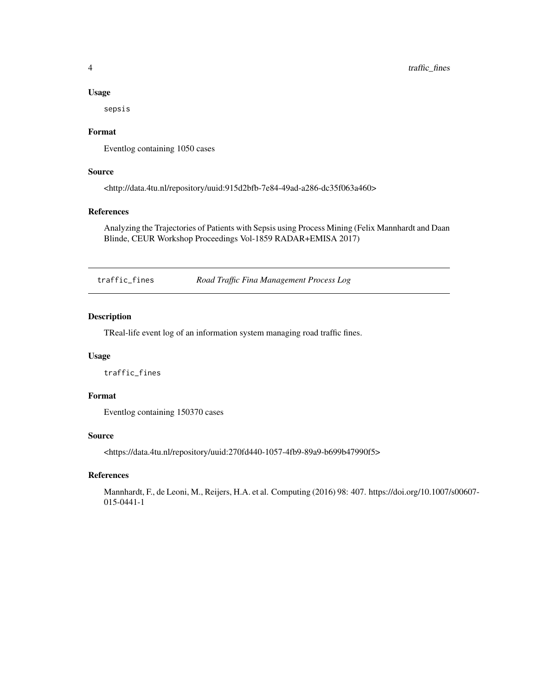#### Usage

sepsis

#### Format

Eventlog containing 1050 cases

#### Source

<http://data.4tu.nl/repository/uuid:915d2bfb-7e84-49ad-a286-dc35f063a460>

#### References

Analyzing the Trajectories of Patients with Sepsis using Process Mining (Felix Mannhardt and Daan Blinde, CEUR Workshop Proceedings Vol-1859 RADAR+EMISA 2017)

traffic\_fines *Road Traffic Fina Management Process Log*

#### Description

TReal-life event log of an information system managing road traffic fines.

#### Usage

traffic\_fines

#### Format

Eventlog containing 150370 cases

#### Source

<https://data.4tu.nl/repository/uuid:270fd440-1057-4fb9-89a9-b699b47990f5>

#### References

Mannhardt, F., de Leoni, M., Reijers, H.A. et al. Computing (2016) 98: 407. https://doi.org/10.1007/s00607- 015-0441-1

<span id="page-3-0"></span>